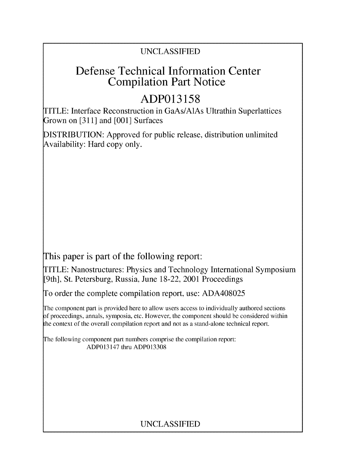### UNCLASSIFIED

## Defense Technical Information Center Compilation Part Notice

# **ADP013158**

TITLE: Interface Reconstruction in GaAs/AlAs Ultrathin Superlattices Grown on [311] and [001] Surfaces

DISTRIBUTION: Approved for public release, distribution unlimited Availability: Hard copy only.

This paper is part of the following report:

TITLE: Nanostructures: Physics and Technology International Symposium [9th], St. Petersburg, Russia, June 18-22, 2001 Proceedings

To order the complete compilation report, use: ADA408025

The component part is provided here to allow users access to individually authored sections f proceedings, annals, symposia, etc. However, the component should be considered within the context of the overall compilation report and not as a stand-alone technical report.

The following component part numbers comprise the compilation report: ADP013147 thru ADP013308

## UNCLASSIFIED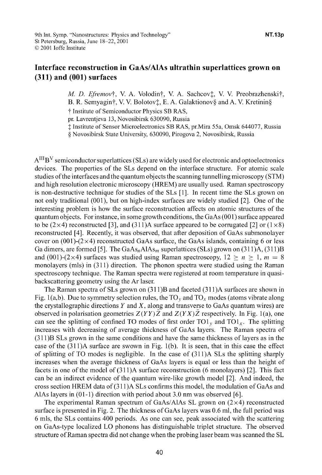### Interface reconstruction in GaAs/AlAs ultrathin superlattices grown on **(311)** and **(001)** surfaces

*M. D. Efremov†*, V. A. Volodin†, V. A. Sachcov‡, V. V. Preobrazhenski†, B. R. Semyagin†, V. V. Bolotov $\ddagger$ , E. A. Galaktionov $\delta$  and A. V. Kretinin $\delta$ t Institute of Semiconductor Physics SB RAS,

pr. Lavrentjeva 13, Novosibirsk 630090, Russia

 $\ddagger$  Institute of Sensor Microelectronics SB RAS, pr.Mira 55a, Omsk 644077, Russia

**§** Novosibirsk State University, 630090, Pirogova 2, Novosibirsk, Russia

 $A^{III}B^{V}$  semiconductor superlattices (SLs) are widely used for electronic and optoelectronics devices. The properties of the SLs depend on the interface structure. For atomic scale studies of the interfaces and the quantum objects the scanning tunnelling microscopy (STM) and high resolution electronic microscopy (HREM) are usually used. Raman spectroscopy is non-destructive technique for studies of the SLs [1]. In recent time the SLs grown on not only traditional (001), but on high-index surfaces are widely studied [2]. One of the interesting problem is how the surface reconstruction affects on atomic structures of the quantum objects. For instance, in some growth conditions, the GaAs (001) surface appeared to be  $(2\times4)$  reconstructed [3], and  $(311)$ A surface appeared to be corrugated [2] or  $(1\times8)$ reconstructed [4]. Recently, it was observed, that after deposition of GaAs submonolayer cover on  $(001)-(2\times4)$  reconstructed GaAs surface, the GaAs islands, containing 6 or less Ga dimers, are formed [5]. The GaAs<sub>n</sub>AlAs<sub>m</sub> superlattices (SLs) grown on (311)A, (311)B and (001)-(2×4) surfaces was studied using Raman spectroscopy,  $12 \ge n \ge 1$ ,  $m = 8$ monolayers (mls) in (311) direction. The phonon spectra were studied using the Raman spectroscopy technique. The Raman spectra were registered at room temperature in quasibackscattering geometry using the Ar laser.

The Raman spectra of SLs grown on (311)B and faceted (311)A surfaces are shown in Fig. 1(a,b). Due to symmetry selection rules, the TO<sub>y</sub> and TO<sub>x</sub> modes (atoms vibrate along the crystallographic directions  $Y$  and  $X$ , along and transverse to GaAs quantum wires) are observed in polarisation geometries  $Z(YY)Z$  and  $Z(YX)Z$  respectively. In Fig. 1(a), one can see the splitting of confined TO modes of first order TO1<sub>y</sub> and TO1<sub>x</sub>. The splitting increases with decreasing of average thickness of GaAs layers. The Raman spectra of (311 )B SLs grown in the same conditions and have the same thickness of layers as in the case of the  $(311)$ A surface are swown in Fig. 1(b). It is seen, that in this case the effect of splitting of TO modes is negligible. In the case of (31 1)A SLs the splitting sharply increases when the average thickness of GaAs layers is equal or less than the height of facets in one of the model of (31 1)A surface reconstruction (6 monolayers) [2]. This fact can be an indirect evidence of the quantum wire-like growth model [2]. And indeed, the cross section HREM data of(31 1)A SLs confirms this model, the modulation of GaAs and AlAs layers in (01-1) direction with period about 3.0 nm was observed **[6].**

The experimental Raman spectrum of GaAs/AlAs SL grown on  $(2\times4)$  reconstructed surface is presented in Fig. 2. The thickness of GaAs layers was 0.6 ml, the full period was 6 mls, the SLs contains 400 periods. As one can see, peak associated with the scattering on GaAs-type localized LO phonons has distinguishable triplet structure. The observed structure of Raman spectra did not change when the probing laser beam was scanned the SL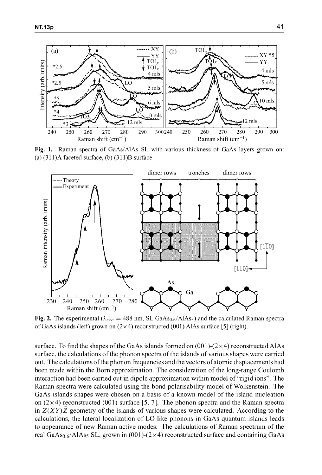

Fig. **1.** Raman spectra of GaAs/A4As **SL** with various thickness of GaAs layers grown on:  $(a)$   $(311)$ A faceted surface,  $(b)$   $(311)$ B surface.



Fig. 2. The experimental  $(\lambda_{exc} = 488 \text{ nm}, \text{SL GaAs}_{0.6}/\text{AlAs}_5)$  and the calculated Raman spectra of GaAs islands (left) grown on (2xx4) reconstructed (001) AlAs surface **[5]** (right).

surface. To find the shapes of the GaAs islands formed on  $(001)-(2\times4)$  reconstructed AlAs surface, the calculations of the phonon spectra of the islands of various shapes were carried out. The calculations of the phonon frequencies and the vectors of atomic displacements had been made within the Born approximation. The consideration of the long-range Coulomb been made within the Born approximation. The consideration of the long-range Coulomb interaction had been carried out in dipole approximation within model of "rigid ions". The Raman spectra were calculated using the bond polarisability model of Wolkenstein. The GaAs islands shapes were chosen on a basis of a known model of the island nucleation on  $(2\times4)$  reconstructed (001) surface [5, 7]. The phonon spectra and the Raman spectra in  $Z(XY)Z$  geometry of the islands of various shapes were calculated. According to the calculations, the lateral localization of LO-like phonons in GaAs quantum islands leads to appearance of new Raman active modes. The calculations of Raman spectrum of the real GaAs<sub>0.6</sub>/AlAs<sub>5</sub> SL, grown in (001)-(2×4) reconstructed surface and containing GaAs